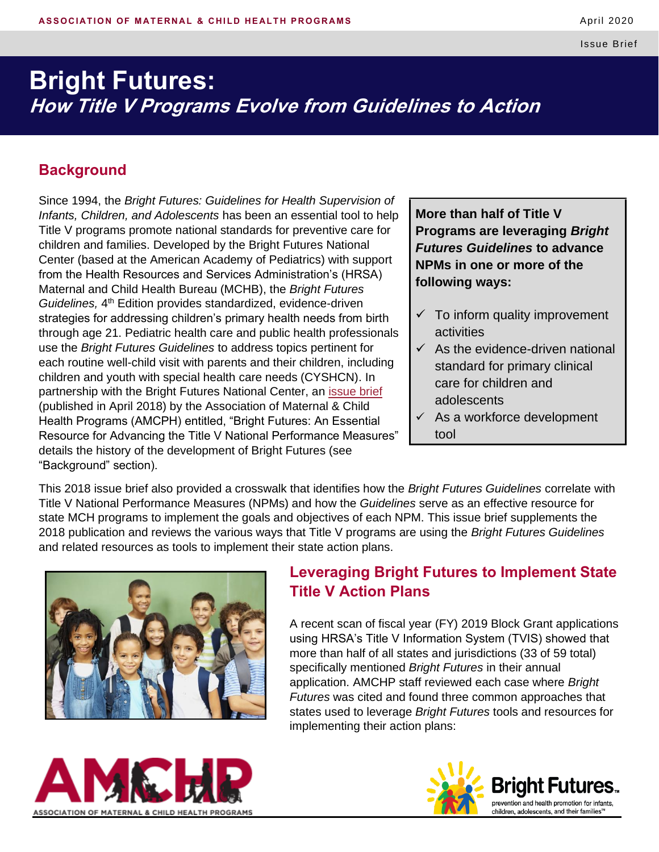# **Bright Futures: How Title V Programs Evolve from Guidelines to Action**

## **Background**

Since 1994, the *Bright Futures: Guidelines for Health Supervision of Infants, Children, and Adolescents* has been an essential tool to help Title V programs promote national standards for preventive care for children and families. Developed by the Bright Futures National Center (based at the American Academy of Pediatrics) with support from the Health Resources and Services Administration's (HRSA) Maternal and Child Health Bureau (MCHB), the *Bright Futures*  Guidelines, 4<sup>th</sup> Edition provides standardized, evidence-driven strategies for addressing children's primary health needs from birth through age 21. Pediatric health care and public health professionals use the *Bright Futures Guidelines* to address topics pertinent for each routine well-child visit with parents and their children, including children and youth with special health care needs (CYSHCN). In partnership with the Bright Futures National Center, an [issue brief](http://www.amchp.org/Policy-Advocacy/health-reform/Documents/Bright%20Futures_Final%20Version%20_April2018.pdf) (published in April 2018) by the Association of Maternal & Child Health Programs (AMCPH) entitled, "Bright Futures: An Essential Resource for Advancing the Title V National Performance Measures" details the history of the development of Bright Futures (see "Background" section).

**More than half of Title V Programs are leveraging** *Bright Futures Guidelines* **to advance NPMs in one or more of the following ways:**

- $\checkmark$  To inform quality improvement activities
- $\checkmark$  As the evidence-driven national standard for primary clinical care for children and adolescents
- $\checkmark$  As a workforce development tool

This 2018 issue brief also provided a crosswalk that identifies how the *Bright Futures Guidelines* correlate with Title V National Performance Measures (NPMs) and how the *Guidelines* serve as an effective resource for state MCH programs to implement the goals and objectives of each NPM. This issue brief supplements the 2018 publication and reviews the various ways that Title V programs are using the *Bright Futures Guidelines*  and related resources as tools to implement their state action plans.



## **Leveraging Bright Futures to Implement State Title V Action Plans**

A recent scan of fiscal year (FY) 2019 Block Grant applications using HRSA's Title V Information System (TVIS) showed that more than half of all states and jurisdictions (33 of 59 total) specifically mentioned *Bright Futures* in their annual application. AMCHP staff reviewed each case where *Bright Futures* was cited and found three common approaches that states used to leverage *Bright Futures* tools and resources for implementing their action plans:



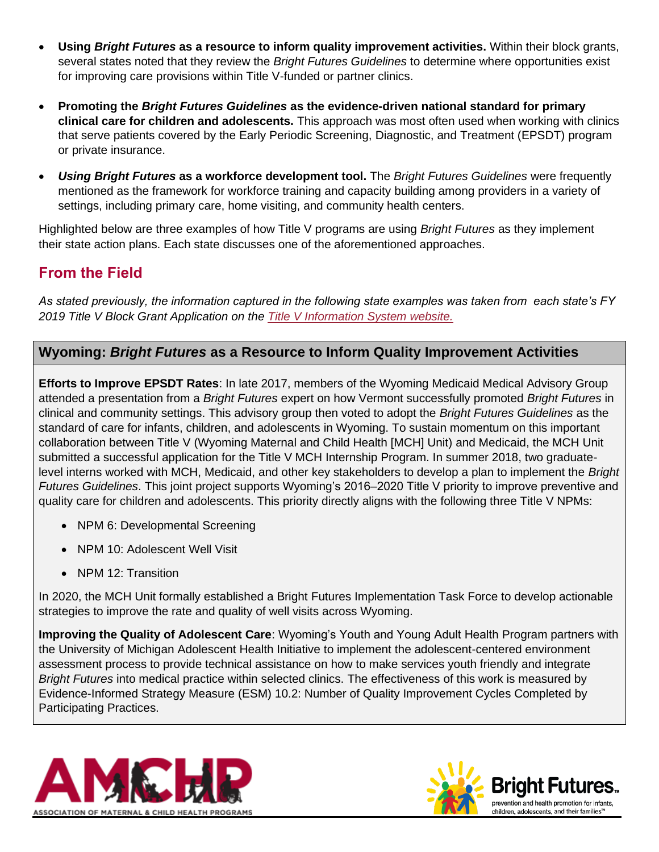- **Using** *Bright Futures* **as a resource to inform quality improvement activities.** Within their block grants, several states noted that they review the *Bright Futures Guidelines* to determine where opportunities exist for improving care provisions within Title V-funded or partner clinics.
- **Promoting the** *Bright Futures Guidelines* **as the evidence-driven national standard for primary clinical care for children and adolescents.** This approach was most often used when working with clinics that serve patients covered by the Early Periodic Screening, Diagnostic, and Treatment (EPSDT) program or private insurance.
- *Using Bright Futures* **as a workforce development tool.** The *Bright Futures Guidelines* were frequently mentioned as the framework for workforce training and capacity building among providers in a variety of settings, including primary care, home visiting, and community health centers.

Highlighted below are three examples of how Title V programs are using *Bright Futures* as they implement their state action plans. Each state discusses one of the aforementioned approaches.

# **From the Field**

*As stated previously, the information captured in the following state examples was taken from each state's FY 2019 Title V Block Grant Application on the [Title V Information System website.](https://mchb.tvisdata.hrsa.gov/)*

### **Wyoming:** *Bright Futures* **as a Resource to Inform Quality Improvement Activities**

**Efforts to Improve EPSDT Rates**: In late 2017, members of the Wyoming Medicaid Medical Advisory Group attended a presentation from a *Bright Futures* expert on how Vermont successfully promoted *Bright Futures* in clinical and community settings. This advisory group then voted to adopt the *Bright Futures Guidelines* as the standard of care for infants, children, and adolescents in Wyoming. To sustain momentum on this important collaboration between Title V (Wyoming Maternal and Child Health [MCH] Unit) and Medicaid, the MCH Unit submitted a successful application for the Title V MCH Internship Program. In summer 2018, two graduatelevel interns worked with MCH, Medicaid, and other key stakeholders to develop a plan to implement the *Bright Futures Guidelines*. This joint project supports Wyoming's 2016‒2020 Title V priority to improve preventive and quality care for children and adolescents. This priority directly aligns with the following three Title V NPMs:

- NPM 6: Developmental Screening
- NPM 10: Adolescent Well Visit
- NPM 12: Transition

In 2020, the MCH Unit formally established a Bright Futures Implementation Task Force to develop actionable strategies to improve the rate and quality of well visits across Wyoming.

**Improving the Quality of Adolescent Care**: Wyoming's Youth and Young Adult Health Program partners with the University of Michigan Adolescent Health Initiative to implement the adolescent-centered environment assessment process to provide technical assistance on how to make services youth friendly and integrate *Bright Futures* into medical practice within selected clinics. The effectiveness of this work is measured by Evidence-Informed Strategy Measure (ESM) 10.2: Number of Quality Improvement Cycles Completed by Participating Practices.



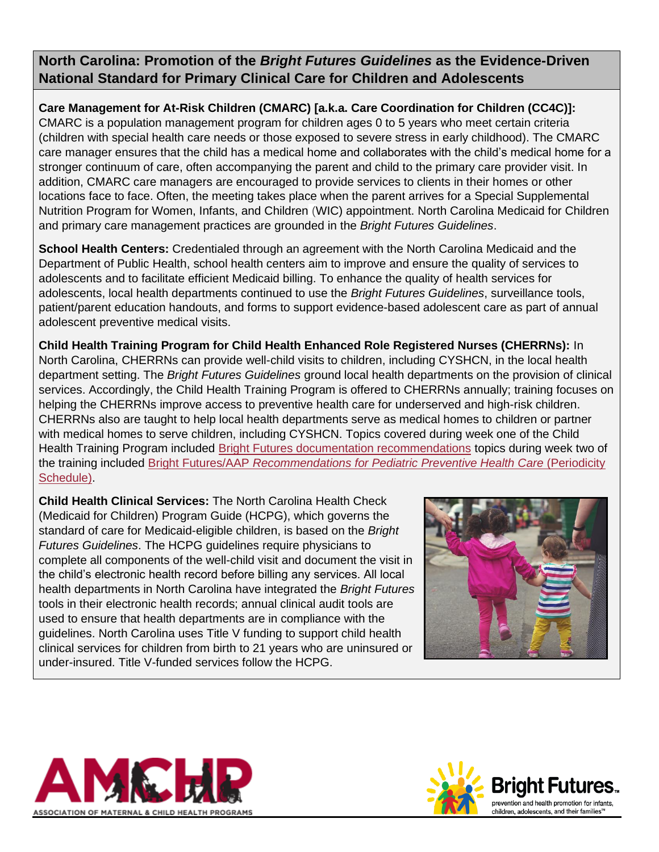**North Carolina: Promotion of the** *Bright Futures Guidelines* **as the Evidence-Driven National Standard for Primary Clinical Care for Children and Adolescents**

**Care Management for At-Risk Children (CMARC) [a.k.a. Care Coordination for Children (CC4C)]:** CMARC is a population management program for children ages 0 to 5 years who meet certain criteria (children with special health care needs or those exposed to severe stress in early childhood). The CMARC care manager ensures that the child has a medical home and collaborates with the child's medical home for a stronger continuum of care, often accompanying the parent and child to the primary care provider visit. In addition, CMARC care managers are encouraged to provide services to clients in their homes or other locations face to face. Often, the meeting takes place when the parent arrives for a Special Supplemental Nutrition Program for Women, Infants, and Children (WIC) appointment. North Carolina Medicaid for Children and primary care management practices are grounded in the *Bright Futures Guidelines*.

**School Health Centers:** Credentialed through an agreement with the North Carolina Medicaid and the Department of Public Health, school health centers aim to improve and ensure the quality of services to adolescents and to facilitate efficient Medicaid billing. To enhance the quality of health services for adolescents, local health departments continued to use the *Bright Futures Guidelines*, surveillance tools, patient/parent education handouts, and forms to support evidence-based adolescent care as part of annual adolescent preventive medical visits.

**Child Health Training Program for Child Health Enhanced Role Registered Nurses (CHERRNs):** In North Carolina, CHERRNs can provide well-child visits to children, including CYSHCN, in the local health department setting. The *Bright Futures Guidelines* ground local health departments on the provision of clinical services. Accordingly, the Child Health Training Program is offered to CHERRNs annually; training focuses on helping the CHERRNs improve access to preventive health care for underserved and high-risk children. CHERRNs also are taught to help local health departments serve as medical homes to children or partner with medical homes to serve children, including CYSHCN. Topics covered during week one of the Child Health Training Program included [Bright Futures documentation recommendations](https://brightfutures.aap.org/materials-and-tools/tool-and-resource-kit/Pages/default.aspx) topics during week two of the training included Bright Futures/AAP *[Recommendations for Pediatric Preventive Health Care](https://www.aap.org/en-us/professional-resources/practice-transformation/managing-patients/Pages/Periodicity-Schedule.aspx)* (Periodicity [Schedule\).](https://www.aap.org/en-us/professional-resources/practice-transformation/managing-patients/Pages/Periodicity-Schedule.aspx)

**Child Health Clinical Services:** The North Carolina Health Check (Medicaid for Children) Program Guide (HCPG), which governs the standard of care for Medicaid-eligible children, is based on the *Bright Futures Guidelines*. The HCPG guidelines require physicians to complete all components of the well-child visit and document the visit in the child's electronic health record before billing any services. All local health departments in North Carolina have integrated the *Bright Futures* tools in their electronic health records; annual clinical audit tools are used to ensure that health departments are in compliance with the guidelines. North Carolina uses Title V funding to support child health clinical services for children from birth to 21 years who are uninsured or under-insured. Title V-funded services follow the HCPG.





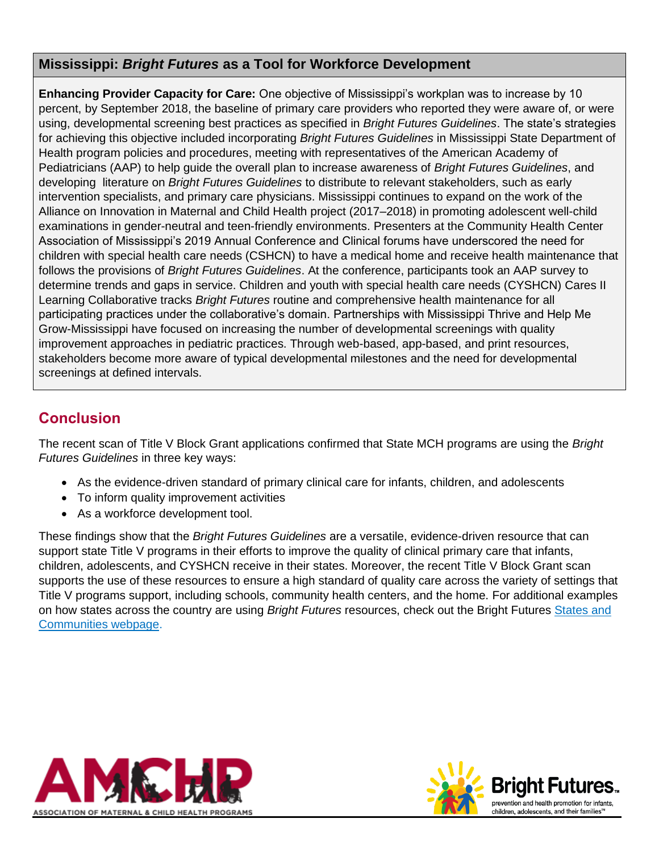#### **Mississippi:** *Bright Futures* **as a Tool for Workforce Development**

**Enhancing Provider Capacity for Care:** One objective of Mississippi's workplan was to increase by 10 percent, by September 2018, the baseline of primary care providers who reported they were aware of, or were using, developmental screening best practices as specified in *Bright Futures Guidelines*. The state's strategies for achieving this objective included incorporating *Bright Futures Guidelines* in Mississippi State Department of Health program policies and procedures, meeting with representatives of the American Academy of Pediatricians (AAP) to help guide the overall plan to increase awareness of *Bright Futures Guidelines*, and developing literature on *Bright Futures Guidelines* to distribute to relevant stakeholders, such as early intervention specialists, and primary care physicians. Mississippi continues to expand on the work of the Alliance on Innovation in Maternal and Child Health project (2017–2018) in promoting adolescent well-child examinations in gender-neutral and teen-friendly environments. Presenters at the Community Health Center Association of Mississippi's 2019 Annual Conference and Clinical forums have underscored the need for children with special health care needs (CSHCN) to have a medical home and receive health maintenance that follows the provisions of *Bright Futures Guidelines*. At the conference, participants took an AAP survey to determine trends and gaps in service. Children and youth with special health care needs (CYSHCN) Cares II Learning Collaborative tracks *Bright Futures* routine and comprehensive health maintenance for all participating practices under the collaborative's domain. Partnerships with Mississippi Thrive and Help Me Grow-Mississippi have focused on increasing the number of developmental screenings with quality improvement approaches in pediatric practices. Through web-based, app-based, and print resources, stakeholders become more aware of typical developmental milestones and the need for developmental screenings at defined intervals.

# **Conclusion**

The recent scan of Title V Block Grant applications confirmed that State MCH programs are using the *Bright Futures Guidelines* in three key ways:

- As the evidence-driven standard of primary clinical care for infants, children, and adolescents
- To inform quality improvement activities
- As a workforce development tool.

These findings show that the *Bright Futures Guidelines* are a versatile, evidence-driven resource that can support state Title V programs in their efforts to improve the quality of clinical primary care that infants, children, adolescents, and CYSHCN receive in their states. Moreover, the recent Title V Block Grant scan supports the use of these resources to ensure a high standard of quality care across the variety of settings that Title V programs support, including schools, community health centers, and the home. For additional examples on how states across the country are using *Bright Futures* resources, check out the Bright Futures [States and](https://brightfutures.aap.org/states-and-communities/Pages/default.aspx) [Communities webpage.](https://brightfutures.aap.org/states-and-communities/Pages/default.aspx)